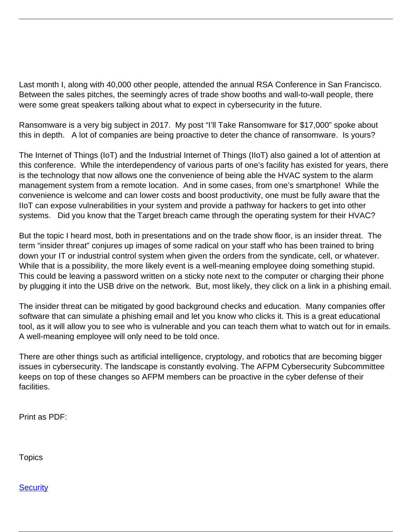Last month I, along with 40,000 other people, attended the annual RSA Conference in San Francisco. Between the sales pitches, the seemingly acres of trade show booths and wall-to-wall people, there were some great speakers talking about what to expect in cybersecurity in the future.

Ransomware is a very big subject in 2017. My post "I'll Take Ransomware for \$17,000" spoke about this in depth. A lot of companies are being proactive to deter the chance of ransomware. Is yours?

The Internet of Things (IoT) and the Industrial Internet of Things (IIoT) also gained a lot of attention at this conference. While the interdependency of various parts of one's facility has existed for years, there is the technology that now allows one the convenience of being able the HVAC system to the alarm management system from a remote location. And in some cases, from one's smartphone! While the convenience is welcome and can lower costs and boost productivity, one must be fully aware that the IIoT can expose vulnerabilities in your system and provide a pathway for hackers to get into other systems. Did you know that the Target breach came through the operating system for their HVAC?

But the topic I heard most, both in presentations and on the trade show floor, is an insider threat. The term "insider threat" conjures up images of some radical on your staff who has been trained to bring down your IT or industrial control system when given the orders from the syndicate, cell, or whatever. While that is a possibility, the more likely event is a well-meaning employee doing something stupid. This could be leaving a password written on a sticky note next to the computer or charging their phone by plugging it into the USB drive on the network. But, most likely, they click on a link in a phishing email.

The insider threat can be mitigated by good background checks and education. Many companies offer software that can simulate a phishing email and let you know who clicks it. This is a great educational tool, as it will allow you to see who is vulnerable and you can teach them what to watch out for in emails. A well-meaning employee will only need to be told once.

There are other things such as artificial intelligence, cryptology, and robotics that are becoming bigger issues in cybersecurity. The landscape is constantly evolving. The AFPM Cybersecurity Subcommittee keeps on top of these changes so AFPM members can be proactive in the cyber defense of their facilities.

Print as PDF:

**Topics** 

**[Security](/topic/security)**